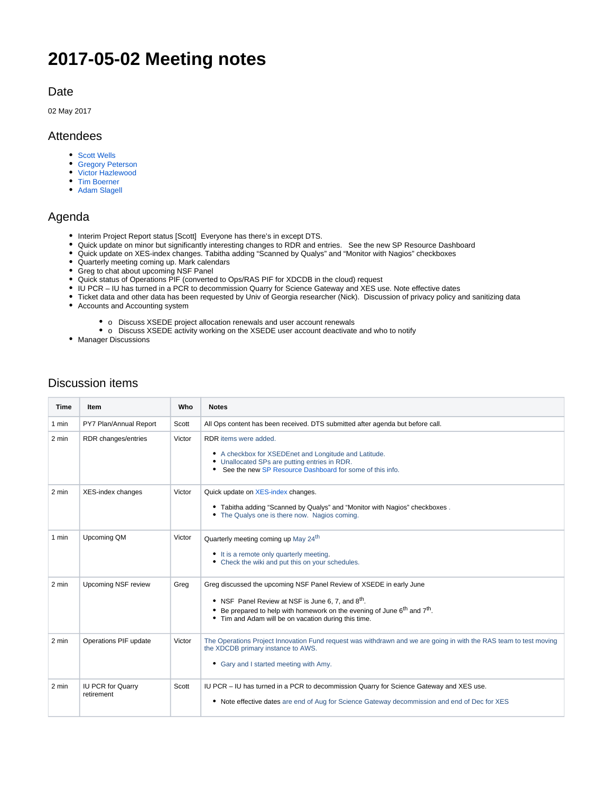## **2017-05-02 Meeting notes**

## Date

02 May 2017

## Attendees

- [Scott Wells](https://confluence.xsede.org/display/~swells)
- [Gregory Peterson](https://confluence.xsede.org/display/~gdp)
- [Victor Hazlewood](https://confluence.xsede.org/display/~victorh)
- [Tim Boerner](https://confluence.xsede.org/display/~tboerner) • [Adam Slagell](https://confluence.xsede.org/display/~slagell)
- Agenda
	- Interim Project Report status [Scott] Everyone has there's in except DTS.
	- Quick update on minor but significantly interesting changes to RDR and entries. See the new SP Resource Dashboard
	- Quick update on XES-index changes. Tabitha adding "Scanned by Qualys" and "Monitor with Nagios" checkboxes
	- Quarterly meeting coming up. Mark calendars
	- Greg to chat about upcoming NSF Panel
	- Quick status of Operations PIF (converted to Ops/RAS PIF for XDCDB in the cloud) request
	- IU PCR IU has turned in a PCR to decommission Quarry for Science Gateway and XES use. Note effective dates
	- Ticket data and other data has been requested by Univ of Georgia researcher (Nick). Discussion of privacy policy and sanitizing data
	- Accounts and Accounting system
		- o Discuss XSEDE project allocation renewals and user account renewals
		- o Discuss XSEDE activity working on the XSEDE user account deactivate and who to notify
	- Manager Discussions

| <b>Discussion items</b> |  |
|-------------------------|--|
|-------------------------|--|

| <b>Time</b>     | Item                                   | Who    | <b>Notes</b>                                                                                                                                                                                                                                                                                   |
|-----------------|----------------------------------------|--------|------------------------------------------------------------------------------------------------------------------------------------------------------------------------------------------------------------------------------------------------------------------------------------------------|
| 1 min           | PY7 Plan/Annual Report                 | Scott  | All Ops content has been received. DTS submitted after agenda but before call.                                                                                                                                                                                                                 |
| 2 min           | RDR changes/entries                    | Victor | RDR items were added.<br>• A checkbox for XSEDEnet and Longitude and Latitude.<br>• Unallocated SPs are putting entries in RDR.<br>• See the new SP Resource Dashboard for some of this info.                                                                                                  |
| 2 min           | XES-index changes                      | Victor | Quick update on XES-index changes.<br>• Tabitha adding "Scanned by Qualys" and "Monitor with Nagios" checkboxes.<br>• The Qualys one is there now. Nagios coming.                                                                                                                              |
| 1 min           | Upcoming QM                            | Victor | Quarterly meeting coming up May 24 <sup>th</sup><br>• It is a remote only quarterly meeting.<br>• Check the wiki and put this on your schedules.                                                                                                                                               |
| 2 min           | <b>Upcoming NSF review</b>             | Greg   | Greg discussed the upcoming NSF Panel Review of XSEDE in early June<br>• NSF Panel Review at NSF is June 6, 7, and 8 <sup>th</sup> .<br>Be prepared to help with homework on the evening of June 6 <sup>th</sup> and 7 <sup>th</sup> .<br>• Tim and Adam will be on vacation during this time. |
| 2 min           | Operations PIF update                  | Victor | The Operations Project Innovation Fund request was withdrawn and we are going in with the RAS team to test moving<br>the XDCDB primary instance to AWS.<br>• Gary and I started meeting with Amy.                                                                                              |
| $2 \text{ min}$ | <b>IU PCR for Quarry</b><br>retirement | Scott  | IU PCR - IU has turned in a PCR to decommission Quarry for Science Gateway and XES use.<br>• Note effective dates are end of Aug for Science Gateway decommission and end of Dec for XES                                                                                                       |